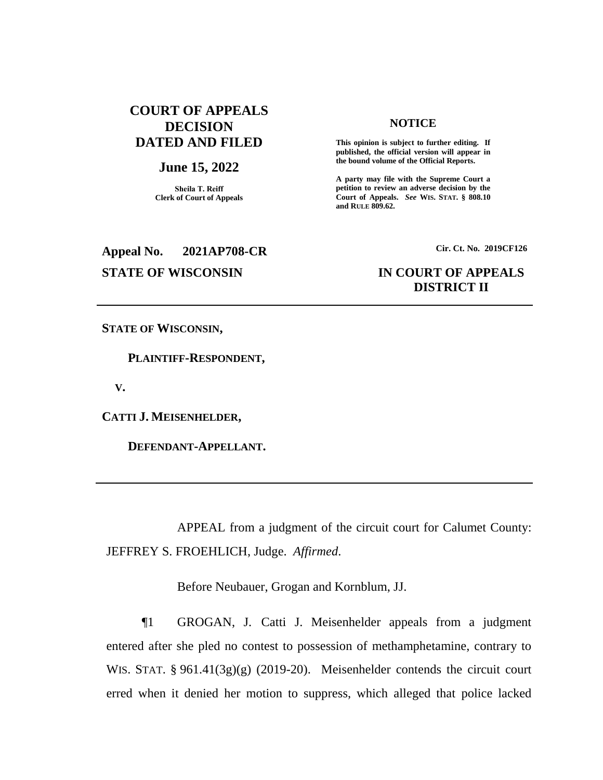### **COURT OF APPEALS DECISION DATED AND FILED**

#### **June 15, 2022**

**Sheila T. Reiff Clerk of Court of Appeals**

# **Appeal No. 2021AP708-CR Cir. Ct. No. 2019CF126**

#### **NOTICE**

**This opinion is subject to further editing. If published, the official version will appear in the bound volume of the Official Reports.** 

**A party may file with the Supreme Court a petition to review an adverse decision by the Court of Appeals.** *See* **WIS. STAT. § 808.10 and RULE 809.62.** 

## **STATE OF WISCONSIN IN COURT OF APPEALS DISTRICT II**

**STATE OF WISCONSIN,**

 **PLAINTIFF-RESPONDENT,**

 **V.**

**CATTI J. MEISENHELDER,**

 **DEFENDANT-APPELLANT.**

APPEAL from a judgment of the circuit court for Calumet County: JEFFREY S. FROEHLICH, Judge. *Affirmed*.

Before Neubauer, Grogan and Kornblum, JJ.

¶1 GROGAN, J. Catti J. Meisenhelder appeals from a judgment entered after she pled no contest to possession of methamphetamine, contrary to WIS. STAT. § 961.41(3g)(g) (2019-20). Meisenhelder contends the circuit court erred when it denied her motion to suppress, which alleged that police lacked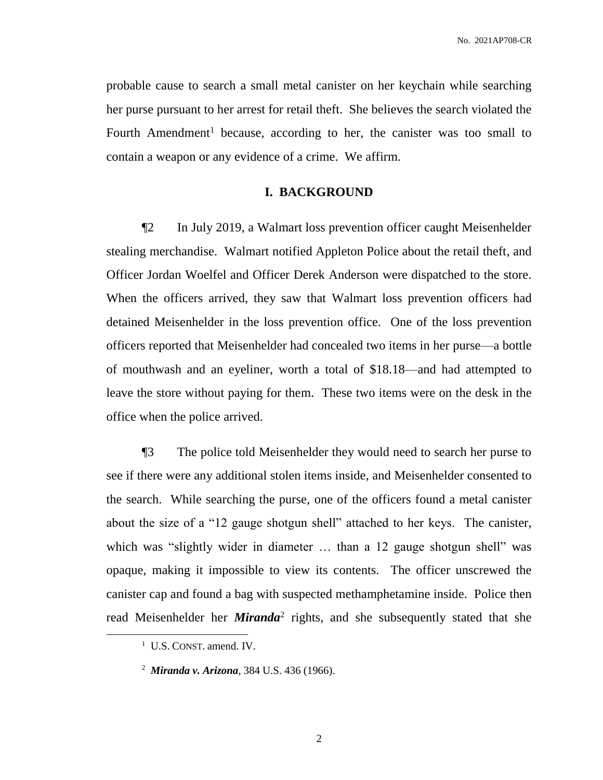No. 2021AP708-CR

probable cause to search a small metal canister on her keychain while searching her purse pursuant to her arrest for retail theft. She believes the search violated the Fourth Amendment<sup>1</sup> because, according to her, the canister was too small to contain a weapon or any evidence of a crime. We affirm.

#### **I. BACKGROUND**

¶2 In July 2019, a Walmart loss prevention officer caught Meisenhelder stealing merchandise. Walmart notified Appleton Police about the retail theft, and Officer Jordan Woelfel and Officer Derek Anderson were dispatched to the store. When the officers arrived, they saw that Walmart loss prevention officers had detained Meisenhelder in the loss prevention office. One of the loss prevention officers reported that Meisenhelder had concealed two items in her purse—a bottle of mouthwash and an eyeliner, worth a total of \$18.18—and had attempted to leave the store without paying for them. These two items were on the desk in the office when the police arrived.

¶3 The police told Meisenhelder they would need to search her purse to see if there were any additional stolen items inside, and Meisenhelder consented to the search. While searching the purse, one of the officers found a metal canister about the size of a "12 gauge shotgun shell" attached to her keys. The canister, which was "slightly wider in diameter ... than a 12 gauge shotgun shell" was opaque, making it impossible to view its contents. The officer unscrewed the canister cap and found a bag with suspected methamphetamine inside. Police then read Meisenhelder her *Miranda*<sup>2</sup> rights, and she subsequently stated that she

 $\overline{a}$ 

<sup>&</sup>lt;sup>1</sup> U.S. CONST. amend. IV.

<sup>2</sup> *Miranda v. Arizona*, 384 U.S. 436 (1966).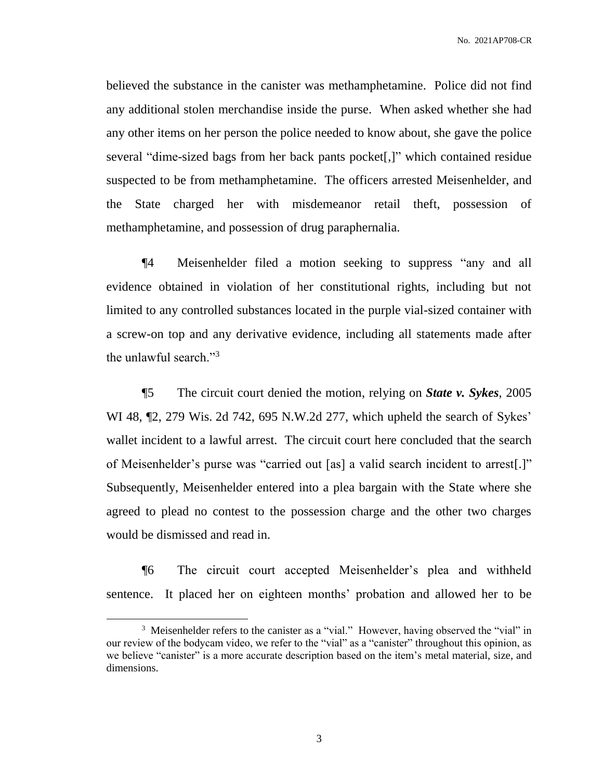No. 2021AP708-CR

believed the substance in the canister was methamphetamine. Police did not find any additional stolen merchandise inside the purse. When asked whether she had any other items on her person the police needed to know about, she gave the police several "dime-sized bags from her back pants pocket[,]" which contained residue suspected to be from methamphetamine. The officers arrested Meisenhelder, and the State charged her with misdemeanor retail theft, possession of methamphetamine, and possession of drug paraphernalia.

¶4 Meisenhelder filed a motion seeking to suppress "any and all evidence obtained in violation of her constitutional rights, including but not limited to any controlled substances located in the purple vial-sized container with a screw-on top and any derivative evidence, including all statements made after the unlawful search."<sup>3</sup>

¶5 The circuit court denied the motion, relying on *State v. Sykes*, 2005 WI 48, ¶2, 279 Wis. 2d 742, 695 N.W.2d 277, which upheld the search of Sykes' wallet incident to a lawful arrest. The circuit court here concluded that the search of Meisenhelder's purse was "carried out [as] a valid search incident to arrest[.]" Subsequently, Meisenhelder entered into a plea bargain with the State where she agreed to plead no contest to the possession charge and the other two charges would be dismissed and read in.

¶6 The circuit court accepted Meisenhelder's plea and withheld sentence. It placed her on eighteen months' probation and allowed her to be

 $\overline{a}$ 

<sup>&</sup>lt;sup>3</sup> Meisenhelder refers to the canister as a "vial." However, having observed the "vial" in our review of the bodycam video, we refer to the "vial" as a "canister" throughout this opinion, as we believe "canister" is a more accurate description based on the item's metal material, size, and dimensions.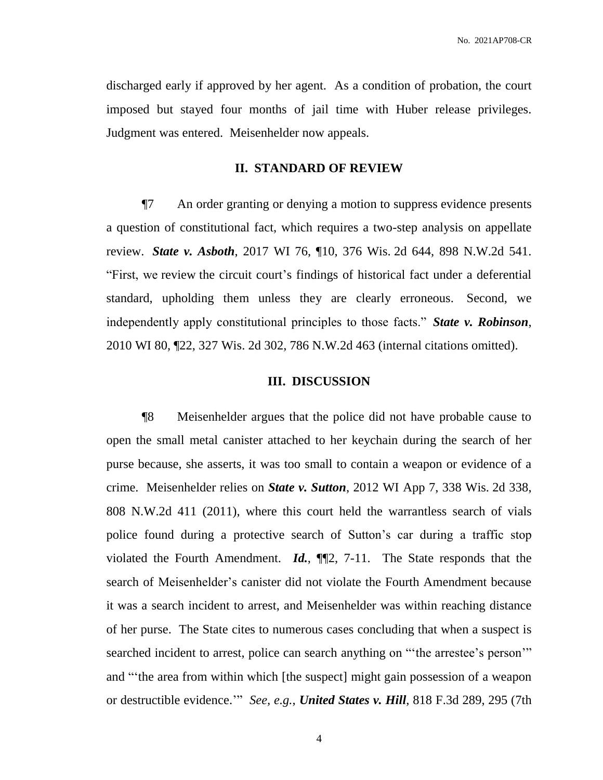discharged early if approved by her agent. As a condition of probation, the court imposed but stayed four months of jail time with Huber release privileges. Judgment was entered. Meisenhelder now appeals.

#### **II. STANDARD OF REVIEW**

¶7 An order granting or denying a motion to suppress evidence presents a question of constitutional fact, which requires a two-step analysis on appellate review. *State v. Asboth*, 2017 WI 76, ¶10, 376 Wis. 2d 644, 898 N.W.2d 541. "First, we review the circuit court's findings of historical fact under a deferential standard, upholding them unless they are clearly erroneous. Second, we independently apply constitutional principles to those facts." *State v. Robinson*, 2010 WI 80, ¶22, 327 Wis. 2d 302, 786 N.W.2d 463 (internal citations omitted).

#### **III. DISCUSSION**

¶8 Meisenhelder argues that the police did not have probable cause to open the small metal canister attached to her keychain during the search of her purse because, she asserts, it was too small to contain a weapon or evidence of a crime. Meisenhelder relies on *State v. Sutton*, 2012 WI App 7, 338 Wis. 2d 338, 808 N.W.2d 411 (2011), where this court held the warrantless search of vials police found during a protective search of Sutton's car during a traffic stop violated the Fourth Amendment. *Id.*, ¶¶2, 7-11. The State responds that the search of Meisenhelder's canister did not violate the Fourth Amendment because it was a search incident to arrest, and Meisenhelder was within reaching distance of her purse. The State cites to numerous cases concluding that when a suspect is searched incident to arrest, police can search anything on "the arrestee's person" and "'the area from within which [the suspect] might gain possession of a weapon or destructible evidence.'" *See, e.g.*, *United States v. Hill*, 818 F.3d 289, 295 (7th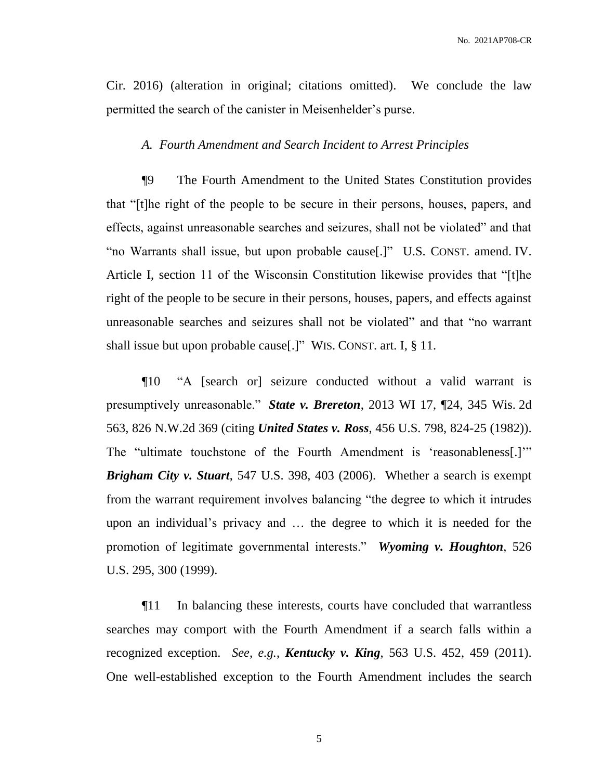No. 2021AP708-CR

Cir. 2016) (alteration in original; citations omitted). We conclude the law permitted the search of the canister in Meisenhelder's purse.

#### *A. Fourth Amendment and Search Incident to Arrest Principles*

¶9 The Fourth Amendment to the United States Constitution provides that "[t]he right of the people to be secure in their persons, houses, papers, and effects, against unreasonable searches and seizures, shall not be violated" and that "no Warrants shall issue, but upon probable cause[.]" U.S. CONST. amend. IV. Article I, section 11 of the Wisconsin Constitution likewise provides that "[t]he right of the people to be secure in their persons, houses, papers, and effects against unreasonable searches and seizures shall not be violated" and that "no warrant shall issue but upon probable cause[.]" WIS. CONST. art. I, § 11.

¶10 "A [search or] seizure conducted without a valid warrant is presumptively unreasonable." *State v. Brereton*, 2013 WI 17, ¶24, 345 Wis. 2d 563, 826 N.W.2d 369 (citing *United States v. Ross*, 456 U.S. 798, 824-25 (1982)). The "ultimate touchstone of the Fourth Amendment is 'reasonableness[.]'" *Brigham City v. Stuart*, 547 U.S. 398, 403 (2006). Whether a search is exempt from the warrant requirement involves balancing "the degree to which it intrudes upon an individual's privacy and … the degree to which it is needed for the promotion of legitimate governmental interests." *Wyoming v. Houghton*, 526 U.S. 295, 300 (1999).

¶11 In balancing these interests, courts have concluded that warrantless searches may comport with the Fourth Amendment if a search falls within a recognized exception. *See, e.g.*, *Kentucky v. King*, 563 U.S. 452, 459 (2011). One well-established exception to the Fourth Amendment includes the search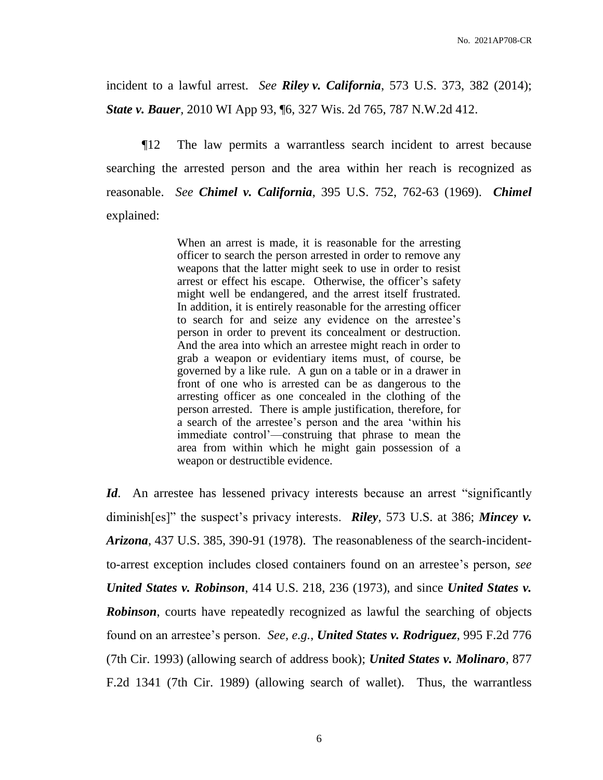incident to a lawful arrest. *See Riley v. California*, 573 U.S. 373, 382 (2014); *State v. Bauer,* 2010 WI App 93, ¶6, 327 Wis. 2d 765, 787 N.W.2d 412.

¶12 The law permits a warrantless search incident to arrest because searching the arrested person and the area within her reach is recognized as reasonable. *See Chimel v. California*, 395 U.S. 752, 762-63 (1969). *Chimel* explained:

> When an arrest is made, it is reasonable for the arresting officer to search the person arrested in order to remove any weapons that the latter might seek to use in order to resist arrest or effect his escape. Otherwise, the officer's safety might well be endangered, and the arrest itself frustrated. In addition, it is entirely reasonable for the arresting officer to search for and seize any evidence on the arrestee's person in order to prevent its concealment or destruction. And the area into which an arrestee might reach in order to grab a weapon or evidentiary items must, of course, be governed by a like rule. A gun on a table or in a drawer in front of one who is arrested can be as dangerous to the arresting officer as one concealed in the clothing of the person arrested. There is ample justification, therefore, for a search of the arrestee's person and the area 'within his immediate control'—construing that phrase to mean the area from within which he might gain possession of a weapon or destructible evidence.

*Id*. An arrestee has lessened privacy interests because an arrest "significantly diminish[es]" the suspect's privacy interests. *Riley*, 573 U.S. at 386; *Mincey v. Arizona*, 437 U.S. 385, 390-91 (1978). The reasonableness of the search-incidentto-arrest exception includes closed containers found on an arrestee's person, *see United States v. Robinson*, 414 U.S. 218, 236 (1973), and since *United States v. Robinson*, courts have repeatedly recognized as lawful the searching of objects found on an arrestee's person. *See, e.g.*, *United States v. Rodriguez*, 995 F.2d 776 (7th Cir. 1993) (allowing search of address book); *United States v. Molinaro*, 877 F.2d 1341 (7th Cir. 1989) (allowing search of wallet). Thus, the warrantless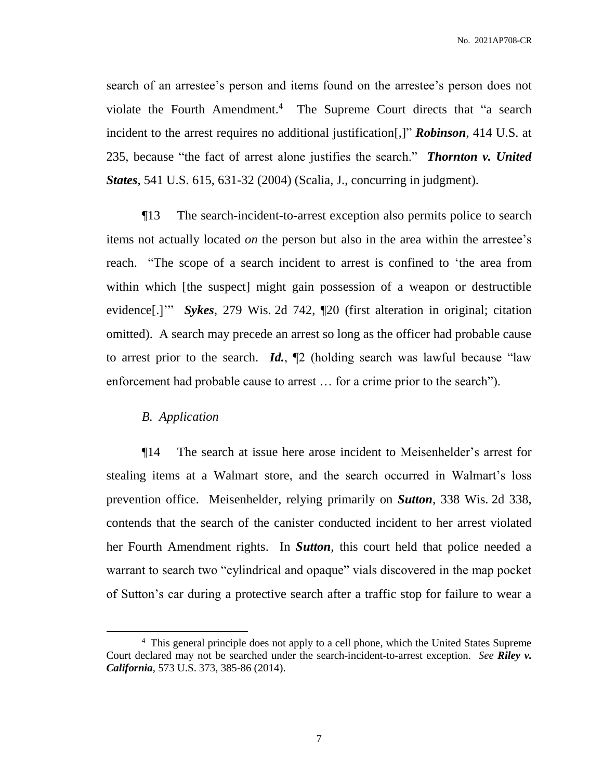search of an arrestee's person and items found on the arrestee's person does not violate the Fourth Amendment. <sup>4</sup> The Supreme Court directs that "a search incident to the arrest requires no additional justification[,]" *Robinson*, 414 U.S. at 235, because "the fact of arrest alone justifies the search." *Thornton v. United States*, 541 U.S. 615, 631-32 (2004) (Scalia, J., concurring in judgment).

¶13 The search-incident-to-arrest exception also permits police to search items not actually located *on* the person but also in the area within the arrestee's reach. "The scope of a search incident to arrest is confined to 'the area from within which [the suspect] might gain possession of a weapon or destructible evidence[.]'" *Sykes*, 279 Wis. 2d 742, ¶20 (first alteration in original; citation omitted). A search may precede an arrest so long as the officer had probable cause to arrest prior to the search. *Id.*, ¶2 (holding search was lawful because "law enforcement had probable cause to arrest … for a crime prior to the search").

#### *B. Application*

 $\overline{a}$ 

¶14 The search at issue here arose incident to Meisenhelder's arrest for stealing items at a Walmart store, and the search occurred in Walmart's loss prevention office. Meisenhelder, relying primarily on *Sutton*, 338 Wis. 2d 338, contends that the search of the canister conducted incident to her arrest violated her Fourth Amendment rights. In *Sutton*, this court held that police needed a warrant to search two "cylindrical and opaque" vials discovered in the map pocket of Sutton's car during a protective search after a traffic stop for failure to wear a

<sup>&</sup>lt;sup>4</sup> This general principle does not apply to a cell phone, which the United States Supreme Court declared may not be searched under the search-incident-to-arrest exception. *See Riley v. California*, 573 U.S. 373, 385-86 (2014).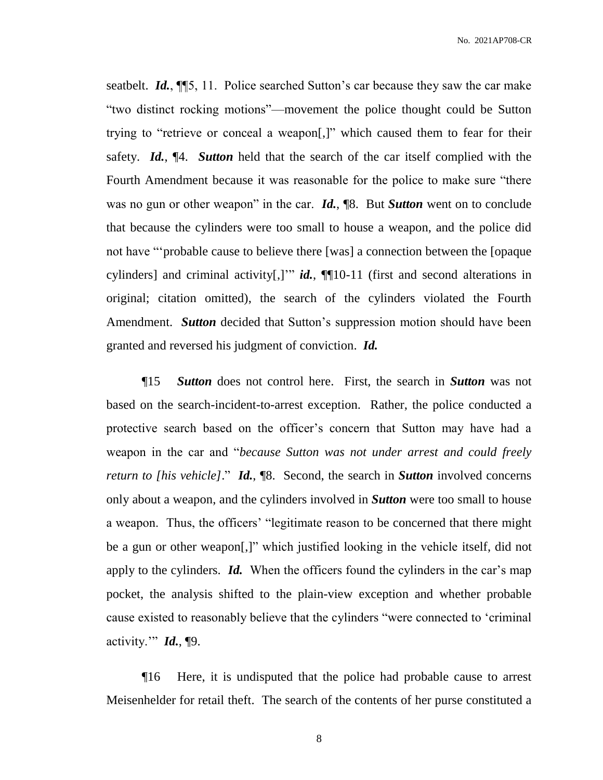seatbelt. *Id.*, ¶¶5, 11. Police searched Sutton's car because they saw the car make "two distinct rocking motions"—movement the police thought could be Sutton trying to "retrieve or conceal a weapon[,]" which caused them to fear for their safety. *Id.*, ¶4. *Sutton* held that the search of the car itself complied with the Fourth Amendment because it was reasonable for the police to make sure "there was no gun or other weapon" in the car. *Id.*, ¶8. But *Sutton* went on to conclude that because the cylinders were too small to house a weapon, and the police did not have "'probable cause to believe there [was] a connection between the [opaque cylinders] and criminal activity[,]'" *id.*, ¶¶10-11 (first and second alterations in original; citation omitted), the search of the cylinders violated the Fourth Amendment. *Sutton* decided that Sutton's suppression motion should have been granted and reversed his judgment of conviction. *Id.*

¶15 *Sutton* does not control here. First, the search in *Sutton* was not based on the search-incident-to-arrest exception. Rather, the police conducted a protective search based on the officer's concern that Sutton may have had a weapon in the car and "*because Sutton was not under arrest and could freely return to [his vehicle]*." *Id.*, ¶8. Second, the search in *Sutton* involved concerns only about a weapon, and the cylinders involved in *Sutton* were too small to house a weapon. Thus, the officers' "legitimate reason to be concerned that there might be a gun or other weapon[,]" which justified looking in the vehicle itself, did not apply to the cylinders. *Id.* When the officers found the cylinders in the car's map pocket, the analysis shifted to the plain-view exception and whether probable cause existed to reasonably believe that the cylinders "were connected to 'criminal activity.'" *Id.*, ¶9.

¶16 Here, it is undisputed that the police had probable cause to arrest Meisenhelder for retail theft. The search of the contents of her purse constituted a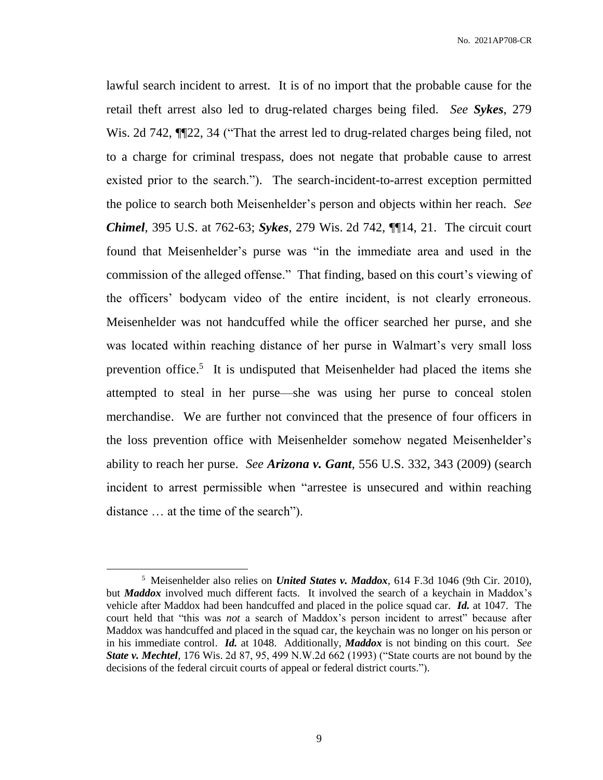lawful search incident to arrest. It is of no import that the probable cause for the retail theft arrest also led to drug-related charges being filed. *See Sykes*, 279 Wis. 2d 742, ¶¶22, 34 ("That the arrest led to drug-related charges being filed, not to a charge for criminal trespass, does not negate that probable cause to arrest existed prior to the search."). The search-incident-to-arrest exception permitted the police to search both Meisenhelder's person and objects within her reach. *See Chimel*, 395 U.S. at 762-63; *Sykes*, 279 Wis. 2d 742, ¶¶14, 21. The circuit court found that Meisenhelder's purse was "in the immediate area and used in the commission of the alleged offense." That finding, based on this court's viewing of the officers' bodycam video of the entire incident, is not clearly erroneous. Meisenhelder was not handcuffed while the officer searched her purse, and she was located within reaching distance of her purse in Walmart's very small loss prevention office.<sup>5</sup> It is undisputed that Meisenhelder had placed the items she attempted to steal in her purse—she was using her purse to conceal stolen merchandise. We are further not convinced that the presence of four officers in the loss prevention office with Meisenhelder somehow negated Meisenhelder's ability to reach her purse. *See Arizona v. Gant*, 556 U.S. 332, 343 (2009) (search incident to arrest permissible when "arrestee is unsecured and within reaching distance … at the time of the search").

 $\overline{a}$ 

<sup>5</sup> Meisenhelder also relies on *United States v. Maddox*, 614 F.3d 1046 (9th Cir. 2010), but *Maddox* involved much different facts. It involved the search of a keychain in Maddox's vehicle after Maddox had been handcuffed and placed in the police squad car. *Id.* at 1047. The court held that "this was *not* a search of Maddox's person incident to arrest" because after Maddox was handcuffed and placed in the squad car, the keychain was no longer on his person or in his immediate control. *Id.* at 1048. Additionally, *Maddox* is not binding on this court. *See State v. Mechtel*, 176 Wis. 2d 87, 95, 499 N.W.2d 662 (1993) ("State courts are not bound by the decisions of the federal circuit courts of appeal or federal district courts.").